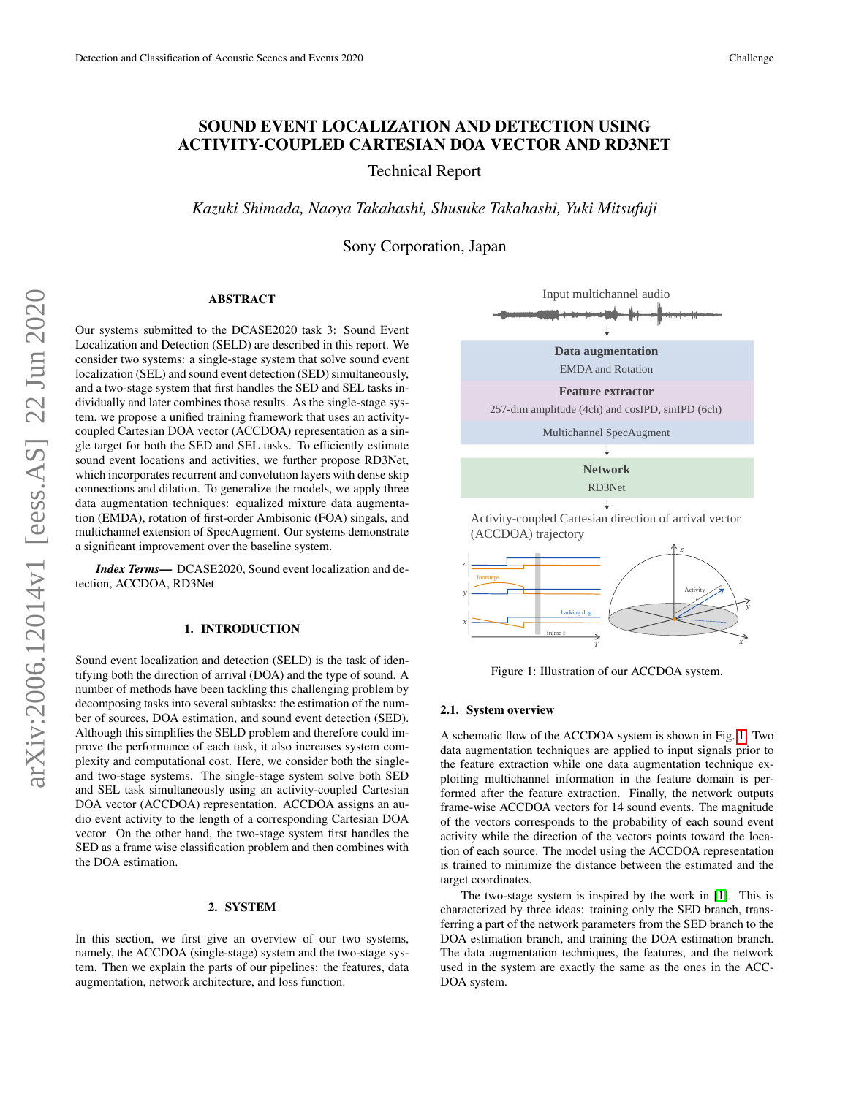# SOUND EVENT LOCALIZATION AND DETECTION USING ACTIVITY-COUPLED CARTESIAN DOA VECTOR AND RD3NET

Technical Report

*Kazuki Shimada, Naoya Takahashi, Shusuke Takahashi, Yuki Mitsufuji*

Sony Corporation, Japan

## ABSTRACT

Our systems submitted to the DCASE2020 task 3: Sound Event Localization and Detection (SELD) are described in this report. We consider two systems: a single-stage system that solve sound event localization (SEL) and sound event detection (SED) simultaneously, and a two-stage system that first handles the SED and SEL tasks individually and later combines those results. As the single-stage system, we propose a unified training framework that uses an activitycoupled Cartesian DOA vector (ACCDOA) representation as a single target for both the SED and SEL tasks. To efficiently estimate sound event locations and activities, we further propose RD3Net, which incorporates recurrent and convolution layers with dense skip connections and dilation. To generalize the models, we apply three data augmentation techniques: equalized mixture data augmentation (EMDA), rotation of first-order Ambisonic (FOA) singals, and multichannel extension of SpecAugment. Our systems demonstrate a significant improvement over the baseline system.

*Index Terms*— DCASE2020, Sound event localization and detection, ACCDOA, RD3Net

#### 1. INTRODUCTION

Sound event localization and detection (SELD) is the task of identifying both the direction of arrival (DOA) and the type of sound. A number of methods have been tackling this challenging problem by decomposing tasks into several subtasks: the estimation of the number of sources, DOA estimation, and sound event detection (SED). Although this simplifies the SELD problem and therefore could improve the performance of each task, it also increases system complexity and computational cost. Here, we consider both the singleand two-stage systems. The single-stage system solve both SED and SEL task simultaneously using an activity-coupled Cartesian DOA vector (ACCDOA) representation. ACCDOA assigns an audio event activity to the length of a corresponding Cartesian DOA vector. On the other hand, the two-stage system first handles the SED as a frame wise classification problem and then combines with the DOA estimation.

## 2. SYSTEM

In this section, we first give an overview of our two systems, namely, the ACCDOA (single-stage) system and the two-stage system. Then we explain the parts of our pipelines: the features, data augmentation, network architecture, and loss function.



<span id="page-0-0"></span>Figure 1: Illustration of our ACCDOA system.

#### 2.1. System overview

A schematic flow of the ACCDOA system is shown in Fig. [1.](#page-0-0) Two data augmentation techniques are applied to input signals prior to the feature extraction while one data augmentation technique exploiting multichannel information in the feature domain is performed after the feature extraction. Finally, the network outputs frame-wise ACCDOA vectors for 14 sound events. The magnitude of the vectors corresponds to the probability of each sound event activity while the direction of the vectors points toward the location of each source. The model using the ACCDOA representation is trained to minimize the distance between the estimated and the target coordinates.

The two-stage system is inspired by the work in [\[1\]](#page-3-0). This is characterized by three ideas: training only the SED branch, transferring a part of the network parameters from the SED branch to the DOA estimation branch, and training the DOA estimation branch. The data augmentation techniques, the features, and the network used in the system are exactly the same as the ones in the ACC-DOA system.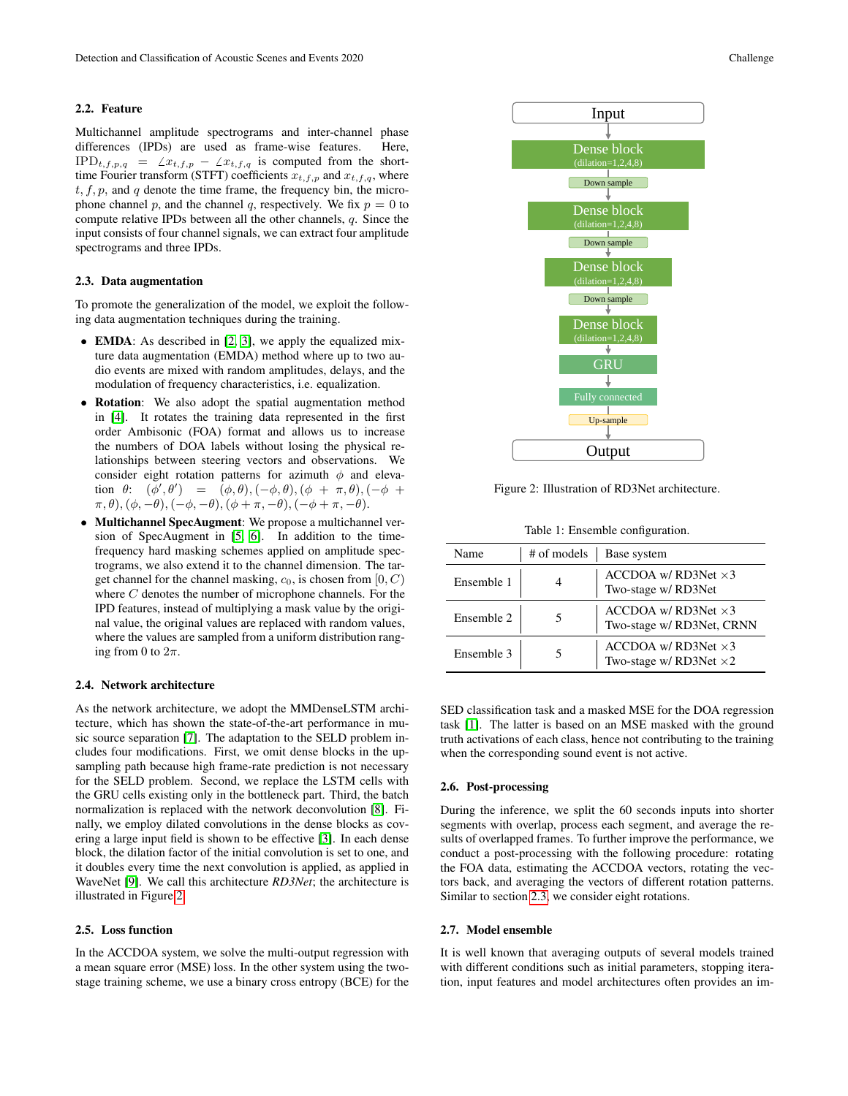#### 2.2. Feature

Multichannel amplitude spectrograms and inter-channel phase differences (IPDs) are used as frame-wise features. Here,  $IPD_{t,f,p,q} = \angle x_{t,f,p} - \angle x_{t,f,q}$  is computed from the shorttime Fourier transform (STFT) coefficients  $x_{t,f,p}$  and  $x_{t,f,q}$ , where  $t, f, p$ , and  $q$  denote the time frame, the frequency bin, the microphone channel p, and the channel q, respectively. We fix  $p = 0$  to compute relative IPDs between all the other channels, q. Since the input consists of four channel signals, we can extract four amplitude spectrograms and three IPDs.

## <span id="page-1-1"></span>2.3. Data augmentation

To promote the generalization of the model, we exploit the following data augmentation techniques during the training.

- EMDA: As described in [\[2,](#page-3-1) [3\]](#page-3-2), we apply the equalized mixture data augmentation (EMDA) method where up to two audio events are mixed with random amplitudes, delays, and the modulation of frequency characteristics, i.e. equalization.
- Rotation: We also adopt the spatial augmentation method in [\[4\]](#page-3-3). It rotates the training data represented in the first order Ambisonic (FOA) format and allows us to increase the numbers of DOA labels without losing the physical relationships between steering vectors and observations. We consider eight rotation patterns for azimuth  $\phi$  and elevation  $\theta$ :  $(\phi', \theta') = (\phi, \theta), (-\phi, \theta), (\phi + \pi, \theta), (-\phi + \theta)$  $(\pi, \theta),(\phi, -\theta),(-\phi, -\theta),(\phi + \pi, -\theta),(-\phi + \pi, -\theta).$
- Multichannel SpecAugment: We propose a multichannel version of SpecAugment in [\[5,](#page-3-4) [6\]](#page-3-5). In addition to the timefrequency hard masking schemes applied on amplitude spectrograms, we also extend it to the channel dimension. The target channel for the channel masking,  $c_0$ , is chosen from  $[0, C)$ where  $C$  denotes the number of microphone channels. For the IPD features, instead of multiplying a mask value by the original value, the original values are replaced with random values, where the values are sampled from a uniform distribution ranging from 0 to  $2\pi$ .

### 2.4. Network architecture

As the network architecture, we adopt the MMDenseLSTM architecture, which has shown the state-of-the-art performance in music source separation [\[7\]](#page-3-6). The adaptation to the SELD problem includes four modifications. First, we omit dense blocks in the upsampling path because high frame-rate prediction is not necessary for the SELD problem. Second, we replace the LSTM cells with the GRU cells existing only in the bottleneck part. Third, the batch normalization is replaced with the network deconvolution [\[8\]](#page-3-7). Finally, we employ dilated convolutions in the dense blocks as covering a large input field is shown to be effective [\[3\]](#page-3-2). In each dense block, the dilation factor of the initial convolution is set to one, and it doubles every time the next convolution is applied, as applied in WaveNet [\[9\]](#page-3-8). We call this architecture *RD3Net*; the architecture is illustrated in Figure [2.](#page-1-0)

## 2.5. Loss function

In the ACCDOA system, we solve the multi-output regression with a mean square error (MSE) loss. In the other system using the twostage training scheme, we use a binary cross entropy (BCE) for the



<span id="page-1-0"></span>Figure 2: Illustration of RD3Net architecture.

**Output** 

**GRU** 

Fully connecte

Up-sample

<span id="page-1-2"></span>

| Name       | # of models | Base system                                                  |  |  |  |  |
|------------|-------------|--------------------------------------------------------------|--|--|--|--|
| Ensemble 1 |             | ACCDOA w/RD3Net $\times$ 3<br>Two-stage w/RD3Net             |  |  |  |  |
| Ensemble 2 |             | ACCDOA w/RD3Net $\times$ 3<br>Two-stage w/ RD3Net, CRNN      |  |  |  |  |
| Ensemble 3 |             | ACCDOA w/RD3Net $\times$ 3<br>Two-stage w/ RD3Net $\times$ 2 |  |  |  |  |

SED classification task and a masked MSE for the DOA regression task [\[1\]](#page-3-0). The latter is based on an MSE masked with the ground truth activations of each class, hence not contributing to the training when the corresponding sound event is not active.

#### 2.6. Post-processing

During the inference, we split the 60 seconds inputs into shorter segments with overlap, process each segment, and average the results of overlapped frames. To further improve the performance, we conduct a post-processing with the following procedure: rotating the FOA data, estimating the ACCDOA vectors, rotating the vectors back, and averaging the vectors of different rotation patterns. Similar to section [2.3,](#page-1-1) we consider eight rotations.

#### 2.7. Model ensemble

It is well known that averaging outputs of several models trained with different conditions such as initial parameters, stopping iteration, input features and model architectures often provides an im-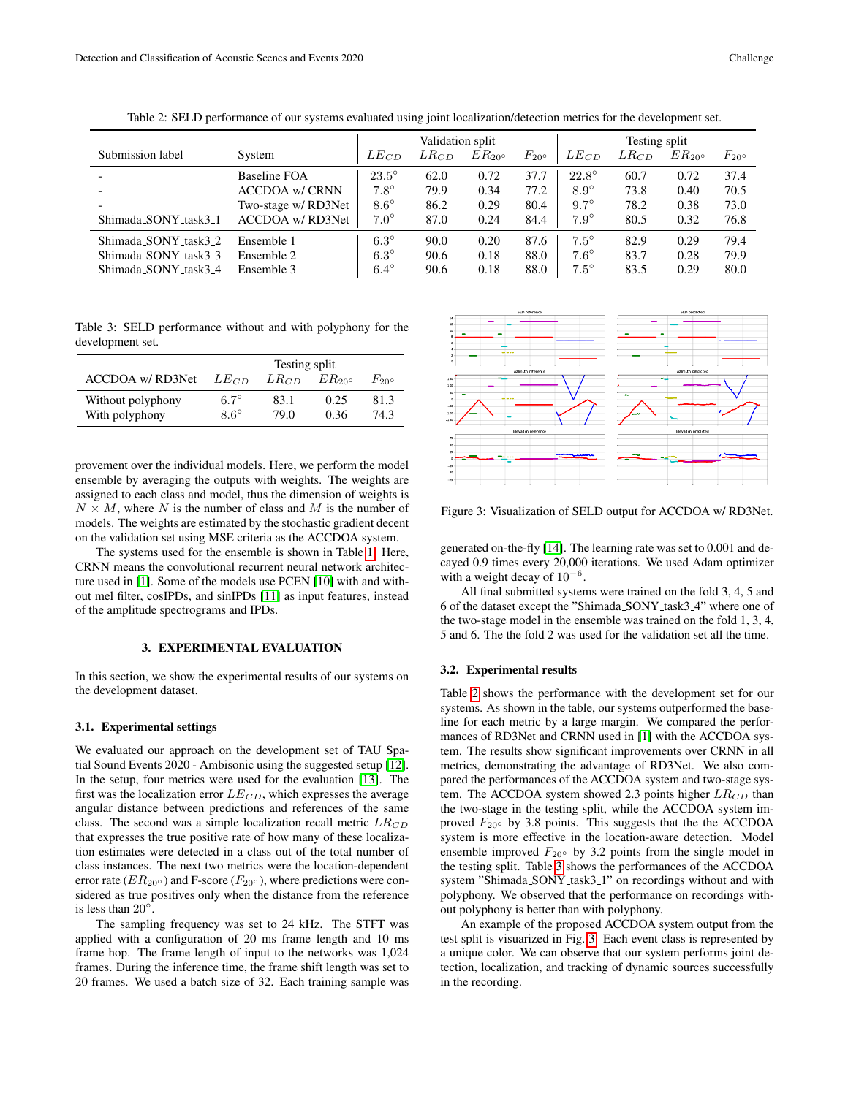|                       |                        | Validation split |           |           | Testing split    |              |           |           |                  |
|-----------------------|------------------------|------------------|-----------|-----------|------------------|--------------|-----------|-----------|------------------|
| Submission label      | System                 | $LE_{CD}$        | $LR_{CD}$ | $ER_{20}$ | $F_{20^{\circ}}$ | $LE_{CD}$    | $LR_{CD}$ | $ER_{20}$ | $F_{20^{\circ}}$ |
|                       | Baseline FOA           | $23.5^\circ$     | 62.0      | 0.72      | 37.7             | $22.8^\circ$ | 60.7      | 0.72      | 37.4             |
|                       | <b>ACCDOA w/ CRNN</b>  | $7.8^\circ$      | 79.9      | 0.34      | 77.2             | $8.9^\circ$  | 73.8      | 0.40      | 70.5             |
|                       | Two-stage w/ RD3Net    | $8.6^\circ$      | 86.2      | 0.29      | 80.4             | $9.7^\circ$  | 78.2      | 0.38      | 73.0             |
| Shimada_SONY_task3_1  | <b>ACCDOA w/RD3Net</b> | $7.0^\circ$      | 87.0      | 0.24      | 84.4             | $7.9^\circ$  | 80.5      | 0.32      | 76.8             |
| Shimada SONY task3 2  | Ensemble 1             | $6.3^\circ$      | 90.0      | 0.20      | 87.6             | $7.5^\circ$  | 82.9      | 0.29      | 79.4             |
| Shimada SONY task 3 3 | Ensemble 2             | $6.3^\circ$      | 90.6      | 0.18      | 88.0             | $7.6^\circ$  | 83.7      | 0.28      | 79.9             |
| Shimada_SONY_task3_4  | Ensemble 3             | $6.4^\circ$      | 90.6      | 0.18      | 88.0             | $7.5^\circ$  | 83.5      | 0.29      | 80.0             |

<span id="page-2-0"></span>Table 2: SELD performance of our systems evaluated using joint localization/detection metrics for the development set.

<span id="page-2-1"></span>Table 3: SELD performance without and with polyphony for the development set.

|                                  | Testing split |           |           |            |  |  |  |
|----------------------------------|---------------|-----------|-----------|------------|--|--|--|
| ACCDOA w/RD3Net $\mid$ $LE_{CD}$ |               | $LR_{CD}$ | $ER_{20}$ | $F_{20}$ ° |  |  |  |
| Without polyphony                | $6.7^\circ$   | 83.1      | 0.25      | 81.3       |  |  |  |
| With polyphony                   | $8.6^\circ$   | 79.0      | 0.36      | 74.3       |  |  |  |

provement over the individual models. Here, we perform the model ensemble by averaging the outputs with weights. The weights are assigned to each class and model, thus the dimension of weights is  $N \times M$ , where N is the number of class and M is the number of models. The weights are estimated by the stochastic gradient decent on the validation set using MSE criteria as the ACCDOA system.

The systems used for the ensemble is shown in Table [1.](#page-1-2) Here, CRNN means the convolutional recurrent neural network architecture used in [\[1\]](#page-3-0). Some of the models use PCEN [\[10\]](#page-3-9) with and without mel filter, cosIPDs, and sinIPDs [\[11\]](#page-3-10) as input features, instead of the amplitude spectrograms and IPDs.

## 3. EXPERIMENTAL EVALUATION

In this section, we show the experimental results of our systems on the development dataset.

#### 3.1. Experimental settings

We evaluated our approach on the development set of TAU Spatial Sound Events 2020 - Ambisonic using the suggested setup [\[12\]](#page-3-11). In the setup, four metrics were used for the evaluation [\[13\]](#page-3-12). The first was the localization error  $LE_{CD}$ , which expresses the average angular distance between predictions and references of the same class. The second was a simple localization recall metric  $LR_{CD}$ that expresses the true positive rate of how many of these localization estimates were detected in a class out of the total number of class instances. The next two metrics were the location-dependent error rate ( $ER_{20} \circ$ ) and F-score ( $F_{20} \circ$ ), where predictions were considered as true positives only when the distance from the reference is less than  $20^\circ$ .

The sampling frequency was set to 24 kHz. The STFT was applied with a configuration of 20 ms frame length and 10 ms frame hop. The frame length of input to the networks was 1,024 frames. During the inference time, the frame shift length was set to 20 frames. We used a batch size of 32. Each training sample was



<span id="page-2-2"></span>Figure 3: Visualization of SELD output for ACCDOA w/ RD3Net.

generated on-the-fly [\[14\]](#page-3-13). The learning rate was set to 0.001 and decayed 0.9 times every 20,000 iterations. We used Adam optimizer with a weight decay of  $10^{-6}$ .

All final submitted systems were trained on the fold 3, 4, 5 and 6 of the dataset except the "Shimada\_SONY\_task3\_4" where one of the two-stage model in the ensemble was trained on the fold 1, 3, 4, 5 and 6. The the fold 2 was used for the validation set all the time.

#### 3.2. Experimental results

Table [2](#page-2-0) shows the performance with the development set for our systems. As shown in the table, our systems outperformed the baseline for each metric by a large margin. We compared the performances of RD3Net and CRNN used in [\[1\]](#page-3-0) with the ACCDOA system. The results show significant improvements over CRNN in all metrics, demonstrating the advantage of RD3Net. We also compared the performances of the ACCDOA system and two-stage system. The ACCDOA system showed 2.3 points higher  $LR_{CD}$  than the two-stage in the testing split, while the ACCDOA system improved  $F_{20}$ ° by 3.8 points. This suggests that the the ACCDOA system is more effective in the location-aware detection. Model ensemble improved  $F_{20}$ ° by 3.2 points from the single model in the testing split. Table [3](#page-2-1) shows the performances of the ACCDOA system "Shimada\_SONY\_task3\_1" on recordings without and with polyphony. We observed that the performance on recordings without polyphony is better than with polyphony.

An example of the proposed ACCDOA system output from the test split is visuarized in Fig. [3.](#page-2-2) Each event class is represented by a unique color. We can observe that our system performs joint detection, localization, and tracking of dynamic sources successfully in the recording.